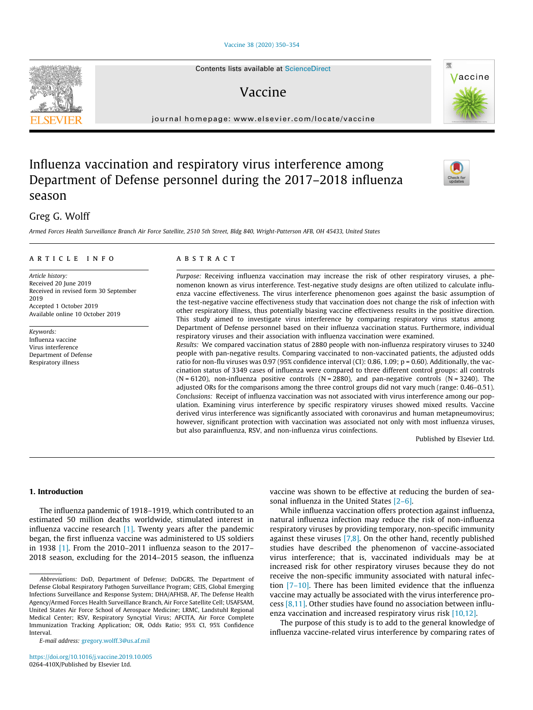# [Vaccine 38 \(2020\) 350–354](https://doi.org/10.1016/j.vaccine.2019.10.005)

# Vaccine

journal homepage: [www.elsevier.com/locate/vaccine](http://www.elsevier.com/locate/vaccine)

# Influenza vaccination and respiratory virus interference among Department of Defense personnel during the 2017–2018 influenza season

# Greg G. Wolff

Armed Forces Health Surveillance Branch Air Force Satellite, 2510 5th Street, Bldg 840, Wright-Patterson AFB, OH 45433, United States

# article info

Article history: Received 20 June 2019 Received in revised form 30 September 2019 Accepted 1 October 2019 Available online 10 October 2019

Keywords: Influenza vaccine Virus interference Department of Defense Respiratory illness

#### **ABSTRACT**

Purpose: Receiving influenza vaccination may increase the risk of other respiratory viruses, a phenomenon known as virus interference. Test-negative study designs are often utilized to calculate influenza vaccine effectiveness. The virus interference phenomenon goes against the basic assumption of the test-negative vaccine effectiveness study that vaccination does not change the risk of infection with other respiratory illness, thus potentially biasing vaccine effectiveness results in the positive direction. This study aimed to investigate virus interference by comparing respiratory virus status among Department of Defense personnel based on their influenza vaccination status. Furthermore, individual respiratory viruses and their association with influenza vaccination were examined.

Results: We compared vaccination status of 2880 people with non-influenza respiratory viruses to 3240 people with pan-negative results. Comparing vaccinated to non-vaccinated patients, the adjusted odds ratio for non-flu viruses was 0.97 (95% confidence interval (CI): 0.86, 1.09; p = 0.60). Additionally, the vaccination status of 3349 cases of influenza were compared to three different control groups: all controls  $(N = 6120)$ , non-influenza positive controls  $(N = 2880)$ , and pan-negative controls  $(N = 3240)$ . The adjusted ORs for the comparisons among the three control groups did not vary much (range: 0.46–0.51). Conclusions: Receipt of influenza vaccination was not associated with virus interference among our population. Examining virus interference by specific respiratory viruses showed mixed results. Vaccine derived virus interference was significantly associated with coronavirus and human metapneumovirus; however, significant protection with vaccination was associated not only with most influenza viruses, but also parainfluenza, RSV, and non-influenza virus coinfections.

Published by Elsevier Ltd.

# 1. Introduction

The influenza pandemic of 1918–1919, which contributed to an estimated 50 million deaths worldwide, stimulated interest in influenza vaccine research  $[1]$ . Twenty years after the pandemic began, the first influenza vaccine was administered to US soldiers in 1938 [\[1\].](#page-4-0) From the 2010–2011 influenza season to the 2017– 2018 season, excluding for the 2014–2015 season, the influenza vaccine was shown to be effective at reducing the burden of seasonal influenza in the United States [\[2–6\]](#page-4-0).

While influenza vaccination offers protection against influenza, natural influenza infection may reduce the risk of non-influenza respiratory viruses by providing temporary, non-specific immunity against these viruses  $[7,8]$ . On the other hand, recently published studies have described the phenomenon of vaccine-associated virus interference; that is, vaccinated individuals may be at increased risk for other respiratory viruses because they do not receive the non-specific immunity associated with natural infection [\[7–10\]](#page-4-0). There has been limited evidence that the influenza vaccine may actually be associated with the virus interference process  $[8,11]$ . Other studies have found no association between influ-enza vaccination and increased respiratory virus risk [\[10,12\]](#page-4-0).

The purpose of this study is to add to the general knowledge of influenza vaccine-related virus interference by comparing rates of







Abbreviations: DoD, Department of Defense; DoDGRS, The Department of Defense Global Respiratory Pathogen Surveillance Program; GEIS, Global Emerging Infections Surveillance and Response System; DHA/AFHSB, AF, The Defense Health Agency/Armed Forces Health Surveillance Branch, Air Force Satellite Cell; USAFSAM, United States Air Force School of Aerospace Medicine; LRMC, Landstuhl Regional Medical Center; RSV, Respiratory Syncytial Virus; AFCITA, Air Force Complete Immunization Tracking Application; OR, Odds Ratio; 95% CI, 95% Confidence Interval.

E-mail address: [gregory.wolff.3@us.af.mil](mailto:gregory.wolff.3@us.af.mil)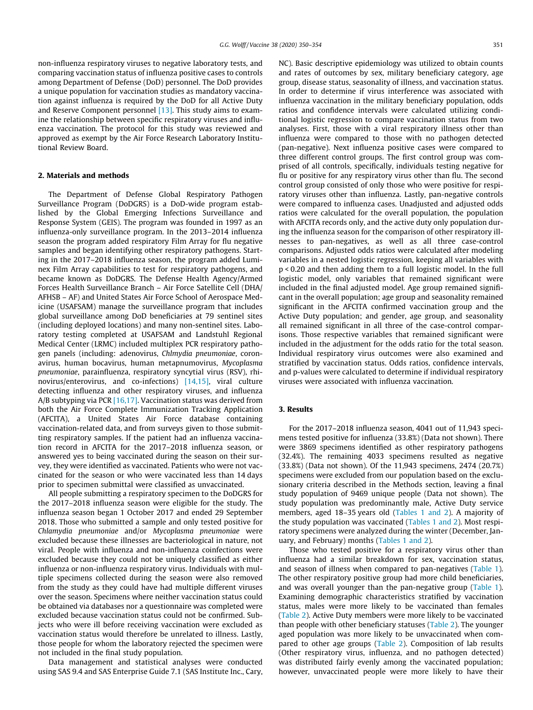non-influenza respiratory viruses to negative laboratory tests, and comparing vaccination status of influenza positive cases to controls among Department of Defense (DoD) personnel. The DoD provides a unique population for vaccination studies as mandatory vaccination against influenza is required by the DoD for all Active Duty and Reserve Component personnel [\[13\].](#page-4-0) This study aims to examine the relationship between specific respiratory viruses and influenza vaccination. The protocol for this study was reviewed and approved as exempt by the Air Force Research Laboratory Institutional Review Board.

# 2. Materials and methods

The Department of Defense Global Respiratory Pathogen Surveillance Program (DoDGRS) is a DoD-wide program established by the Global Emerging Infections Surveillance and Response System (GEIS). The program was founded in 1997 as an influenza-only surveillance program. In the 2013–2014 influenza season the program added respiratory Film Array for flu negative samples and began identifying other respiratory pathogens. Starting in the 2017–2018 influenza season, the program added Luminex Film Array capabilities to test for respiratory pathogens, and became known as DoDGRS. The Defense Health Agency/Armed Forces Health Surveillance Branch – Air Force Satellite Cell (DHA/ AFHSB – AF) and United States Air Force School of Aerospace Medicine (USAFSAM) manage the surveillance program that includes global surveillance among DoD beneficiaries at 79 sentinel sites (including deployed locations) and many non-sentinel sites. Laboratory testing completed at USAFSAM and Landstuhl Regional Medical Center (LRMC) included multiplex PCR respiratory pathogen panels (including: adenovirus, Chlmydia pneumoniae, coronavirus, human bocavirus, human metapnumovirus, Mycoplasma pneumoniae, parainfluenza, respiratory syncytial virus (RSV), rhinovirus/enterovirus, and co-infections) [\[14,15\]](#page-4-0), viral culture detecting influenza and other respiratory viruses, and influenza A/B subtyping via PCR [\[16,17\].](#page-4-0) Vaccination status was derived from both the Air Force Complete Immunization Tracking Application (AFCITA), a United States Air Force database containing vaccination-related data, and from surveys given to those submitting respiratory samples. If the patient had an influenza vaccination record in AFCITA for the 2017–2018 influenza season, or answered yes to being vaccinated during the season on their survey, they were identified as vaccinated. Patients who were not vaccinated for the season or who were vaccinated less than 14 days prior to specimen submittal were classified as unvaccinated.

All people submitting a respiratory specimen to the DoDGRS for the 2017–2018 influenza season were eligible for the study. The influenza season began 1 October 2017 and ended 29 September 2018. Those who submitted a sample and only tested positive for Chlamydia pneumoniae and/or Mycoplasma pneumoniae were excluded because these illnesses are bacteriological in nature, not viral. People with influenza and non-influenza coinfections were excluded because they could not be uniquely classified as either influenza or non-influenza respiratory virus. Individuals with multiple specimens collected during the season were also removed from the study as they could have had multiple different viruses over the season. Specimens where neither vaccination status could be obtained via databases nor a questionnaire was completed were excluded because vaccination status could not be confirmed. Subjects who were ill before receiving vaccination were excluded as vaccination status would therefore be unrelated to illness. Lastly, those people for whom the laboratory rejected the specimen were not included in the final study population.

Data management and statistical analyses were conducted using SAS 9.4 and SAS Enterprise Guide 7.1 (SAS Institute Inc., Cary, NC). Basic descriptive epidemiology was utilized to obtain counts and rates of outcomes by sex, military beneficiary category, age group, disease status, seasonality of illness, and vaccination status. In order to determine if virus interference was associated with influenza vaccination in the military beneficiary population, odds ratios and confidence intervals were calculated utilizing conditional logistic regression to compare vaccination status from two analyses. First, those with a viral respiratory illness other than influenza were compared to those with no pathogen detected (pan-negative). Next influenza positive cases were compared to three different control groups. The first control group was comprised of all controls, specifically, individuals testing negative for flu or positive for any respiratory virus other than flu. The second control group consisted of only those who were positive for respiratory viruses other than influenza. Lastly, pan-negative controls were compared to influenza cases. Unadjusted and adjusted odds ratios were calculated for the overall population, the population with AFCITA records only, and the active duty only population during the influenza season for the comparison of other respiratory illnesses to pan-negatives, as well as all three case-control comparisons. Adjusted odds ratios were calculated after modeling variables in a nested logistic regression, keeping all variables with p < 0.20 and then adding them to a full logistic model. In the full logistic model, only variables that remained significant were included in the final adjusted model. Age group remained significant in the overall population; age group and seasonality remained significant in the AFCITA confirmed vaccination group and the Active Duty population; and gender, age group, and seasonality all remained significant in all three of the case-control comparisons. Those respective variables that remained significant were included in the adjustment for the odds ratio for the total season. Individual respiratory virus outcomes were also examined and stratified by vaccination status. Odds ratios, confidence intervals, and p-values were calculated to determine if individual respiratory viruses were associated with influenza vaccination.

# 3. Results

For the 2017–2018 influenza season, 4041 out of 11,943 specimens tested positive for influenza (33.8%) (Data not shown). There were 3869 specimens identified as other respiratory pathogens (32.4%). The remaining 4033 specimens resulted as negative (33.8%) (Data not shown). Of the 11,943 specimens, 2474 (20.7%) specimens were excluded from our population based on the exclusionary criteria described in the Methods section, leaving a final study population of 9469 unique people (Data not shown). The study population was predominantly male, Active Duty service members, aged 18–35 years old [\(Tables 1 and 2](#page-2-0)). A majority of the study population was vaccinated ([Tables 1 and 2\)](#page-2-0). Most respiratory specimens were analyzed during the winter (December, January, and February) months [\(Tables 1 and 2\)](#page-2-0).

Those who tested positive for a respiratory virus other than influenza had a similar breakdown for sex, vaccination status, and season of illness when compared to pan-negatives [\(Table 1\)](#page-2-0). The other respiratory positive group had more child beneficiaries, and was overall younger than the pan-negative group [\(Table 1\)](#page-2-0). Examining demographic characteristics stratified by vaccination status, males were more likely to be vaccinated than females ([Table 2](#page-2-0)). Active Duty members were more likely to be vaccinated than people with other beneficiary statuses ([Table 2](#page-2-0)). The younger aged population was more likely to be unvaccinated when compared to other age groups ([Table 2\)](#page-2-0). Composition of lab results (Other respiratory virus, influenza, and no pathogen detected) was distributed fairly evenly among the vaccinated population; however, unvaccinated people were more likely to have their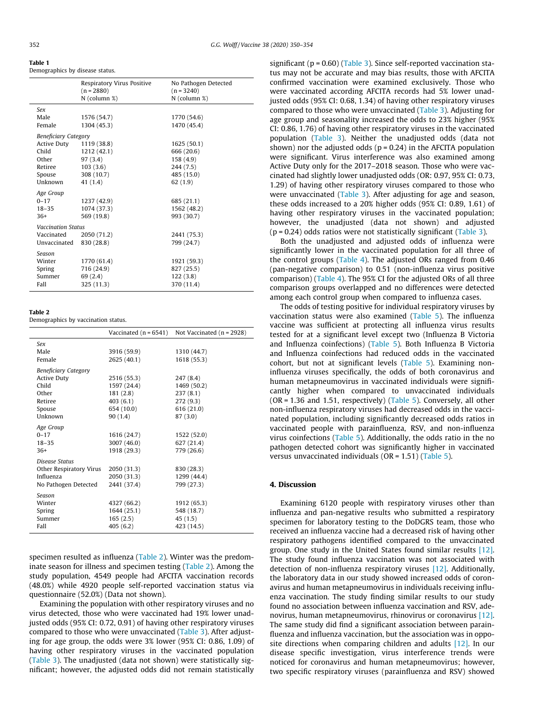<span id="page-2-0"></span>

| Table T                         |  |  |
|---------------------------------|--|--|
| Demographics by disease status. |  |  |

|                           |                             | Respiratory Virus Positive<br>$(n = 2880)$ | No Pathogen Detected<br>$(n = 3240)$ |  |  |
|---------------------------|-----------------------------|--------------------------------------------|--------------------------------------|--|--|
|                           |                             | $N$ (column %)                             | N (column %)                         |  |  |
|                           | Sex                         |                                            |                                      |  |  |
|                           | Male                        | 1576 (54.7)                                | 1770 (54.6)                          |  |  |
|                           | Female                      | 1304 (45.3)                                | 1470 (45.4)                          |  |  |
|                           | <b>Beneficiary Category</b> |                                            |                                      |  |  |
|                           | Active Duty                 | 1119 (38.8)                                | 1625 (50.1)                          |  |  |
|                           | Child                       | 1212 (42.1)                                | 666 (20.6)                           |  |  |
|                           | Other                       | 97(3.4)                                    | 158 (4.9)                            |  |  |
|                           | Retiree                     | 103(3.6)                                   | 244(7.5)                             |  |  |
|                           | Spouse                      | 308 (10.7)                                 | 485 (15.0)                           |  |  |
|                           | Unknown                     | 41(1.4)                                    | 62(1.9)                              |  |  |
|                           | Age Group                   |                                            |                                      |  |  |
|                           | $0 - 17$                    | 1237 (42.9)                                | 685 (21.1)                           |  |  |
|                           | $18 - 35$                   | 1074 (37.3)                                | 1562 (48.2)                          |  |  |
|                           | $36+$                       | 569 (19.8)                                 | 993 (30.7)                           |  |  |
| <b>Vaccination Status</b> |                             |                                            |                                      |  |  |
|                           | Vaccinated                  | 2050 (71.2)                                | 2441 (75.3)                          |  |  |
|                           | Unvaccinated                | 830 (28.8)                                 | 799 (24.7)                           |  |  |
|                           | Season                      |                                            |                                      |  |  |
|                           | Winter                      | 1770 (61.4)                                | 1921 (59.3)                          |  |  |
|                           | Spring                      | 716 (24.9)                                 | 827 (25.5)                           |  |  |
|                           | Summer                      | 69 (2.4)                                   | 122(3.8)                             |  |  |
|                           | Fall                        | 325 (11.3)                                 | 370 (11.4)                           |  |  |
|                           |                             |                                            |                                      |  |  |

Table 2

Demographics by vaccination status.

|                                                                                                     | Vaccinated (n = 6541)                                                       | Not Vaccinated $(n = 2928)$                                               |
|-----------------------------------------------------------------------------------------------------|-----------------------------------------------------------------------------|---------------------------------------------------------------------------|
| Sex<br>Male<br>Female                                                                               | 3916 (59.9)<br>2625 (40.1)                                                  | 1310 (44.7)<br>1618 (55.3)                                                |
| <b>Beneficiary Category</b><br><b>Active Duty</b><br>Child<br>Other<br>Retiree<br>Spouse<br>Unknown | 2516 (55.3)<br>1597 (24.4)<br>181(2.8)<br>403(6.1)<br>654 (10.0)<br>90(1.4) | 247 (8.4)<br>1469 (50.2)<br>237(8.1)<br>272(9.3)<br>616 (21.0)<br>87(3.0) |
| Age Group<br>$0 - 17$<br>$18 - 35$<br>$36+$                                                         | 1616 (24.7)<br>3007 (46.0)<br>1918 (29.3)                                   | 1522 (52.0)<br>627 (21.4)<br>779 (26.6)                                   |
| Disease Status<br>Other Respiratory Virus<br>Influenza<br>No Pathogen Detected                      | 2050 (31.3)<br>2050 (31.3)<br>2441 (37.4)                                   | 830 (28.3)<br>1299 (44.4)<br>799 (27.3)                                   |
| Season<br>Winter<br>Spring<br>Summer<br>Fall                                                        | 4327 (66.2)<br>1644 (25.1)<br>165(2.5)<br>405(6.2)                          | 1912 (65.3)<br>548 (18.7)<br>45(1.5)<br>423 (14.5)                        |

specimen resulted as influenza (Table 2). Winter was the predominate season for illness and specimen testing (Table 2). Among the study population, 4549 people had AFCITA vaccination records (48.0%) while 4920 people self-reported vaccination status via questionnaire (52.0%) (Data not shown).

Examining the population with other respiratory viruses and no virus detected, those who were vaccinated had 19% lower unadjusted odds (95% CI: 0.72, 0.91) of having other respiratory viruses compared to those who were unvaccinated [\(Table 3\)](#page-3-0). After adjusting for age group, the odds were 3% lower (95% CI: 0.86, 1.09) of having other respiratory viruses in the vaccinated population ([Table 3\)](#page-3-0). The unadjusted (data not shown) were statistically significant; however, the adjusted odds did not remain statistically

significant ( $p = 0.60$ ) [\(Table 3\)](#page-3-0). Since self-reported vaccination status may not be accurate and may bias results, those with AFCITA confirmed vaccination were examined exclusively. Those who were vaccinated according AFCITA records had 5% lower unadjusted odds (95% CI: 0.68, 1.34) of having other respiratory viruses compared to those who were unvaccinated [\(Table 3\)](#page-3-0). Adjusting for age group and seasonality increased the odds to 23% higher (95% CI: 0.86, 1.76) of having other respiratory viruses in the vaccinated population [\(Table 3\)](#page-3-0). Neither the unadjusted odds (data not shown) nor the adjusted odds ( $p = 0.24$ ) in the AFCITA population were significant. Virus interference was also examined among Active Duty only for the 2017–2018 season. Those who were vaccinated had slightly lower unadjusted odds (OR: 0.97, 95% CI: 0.73, 1.29) of having other respiratory viruses compared to those who were unvaccinated ([Table 3\)](#page-3-0). After adjusting for age and season, these odds increased to a 20% higher odds (95% CI: 0.89, 1.61) of having other respiratory viruses in the vaccinated population; however, the unadjusted (data not shown) and adjusted  $(p = 0.24)$  odds ratios were not statistically significant [\(Table 3\)](#page-3-0).

Both the unadjusted and adjusted odds of influenza were significantly lower in the vaccinated population for all three of the control groups [\(Table 4\)](#page-3-0). The adjusted ORs ranged from 0.46 (pan-negative comparison) to 0.51 (non-influenza virus positive comparison) [\(Table 4\)](#page-3-0). The 95% CI for the adjusted ORs of all three comparison groups overlapped and no differences were detected among each control group when compared to influenza cases.

The odds of testing positive for individual respiratory viruses by vaccination status were also examined ([Table 5](#page-3-0)). The influenza vaccine was sufficient at protecting all influenza virus results tested for at a significant level except two (Influenza B Victoria and Influenza coinfections) ([Table 5](#page-3-0)). Both Influenza B Victoria and Influenza coinfections had reduced odds in the vaccinated cohort, but not at significant levels [\(Table 5\)](#page-3-0). Examining noninfluenza viruses specifically, the odds of both coronavirus and human metapneumovirus in vaccinated individuals were significantly higher when compared to unvaccinated individuals  $(OR = 1.36$  and 1.51, respectively) [\(Table 5](#page-3-0)). Conversely, all other non-influenza respiratory viruses had decreased odds in the vaccinated population, including significantly decreased odds ratios in vaccinated people with parainfluenza, RSV, and non-influenza virus coinfections ([Table 5\)](#page-3-0). Additionally, the odds ratio in the no pathogen detected cohort was significantly higher in vaccinated versus unvaccinated individuals ( $OR = 1.51$ ) [\(Table 5](#page-3-0)).

#### 4. Discussion

Examining 6120 people with respiratory viruses other than influenza and pan-negative results who submitted a respiratory specimen for laboratory testing to the DoDGRS team, those who received an influenza vaccine had a decreased risk of having other respiratory pathogens identified compared to the unvaccinated group. One study in the United States found similar results [\[12\].](#page-4-0) The study found influenza vaccination was not associated with detection of non-influenza respiratory viruses [\[12\]](#page-4-0). Additionally, the laboratory data in our study showed increased odds of coronavirus and human metapneumovirus in individuals receiving influenza vaccination. The study finding similar results to our study found no association between influenza vaccination and RSV, adenovirus, human metapneumovirus, rhinovirus or coronavirus [\[12\].](#page-4-0) The same study did find a significant association between parainfluenza and influenza vaccination, but the association was in opposite directions when comparing children and adults  $[12]$ . In our disease specific investigation, virus interference trends were noticed for coronavirus and human metapneumovirus; however, two specific respiratory viruses (parainfluenza and RSV) showed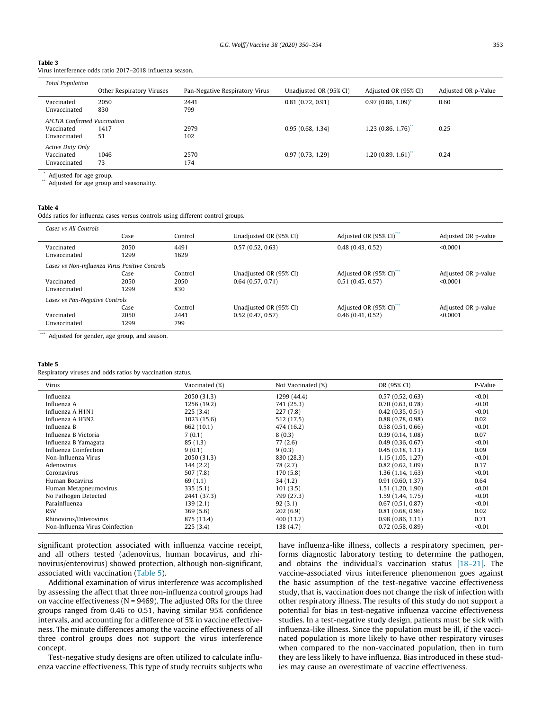### <span id="page-3-0"></span>Table 3

Virus interference odds ratio 2017–2018 influenza season.

| <b>Total Population</b>                                           |                           |                                |                        |                      |                     |
|-------------------------------------------------------------------|---------------------------|--------------------------------|------------------------|----------------------|---------------------|
|                                                                   | Other Respiratory Viruses | Pan-Negative Respiratory Virus | Unadjusted OR (95% CI) | Adjusted OR (95% CI) | Adjusted OR p-Value |
| Vaccinated<br>Unvaccinated                                        | 2050<br>830               | 2441<br>799                    | 0.81(0.72, 0.91)       | $0.97(0.86, 1.09)^*$ | 0.60                |
| <b>AFCITA Confirmed Vaccination</b><br>Vaccinated<br>Unvaccinated | 1417<br>51                | 2979<br>102                    | 0.95(0.68, 1.34)       | 1.23(0.86, 1.76)     | 0.25                |
| Active Duty Only<br>Vaccinated<br>Unvaccinated                    | 1046<br>73                | 2570<br>174                    | 0.97(0.73, 1.29)       | 1.20(0.89, 1.61)     | 0.24                |
| $\cdots$                                                          |                           |                                |                        |                      |                     |

Adjusted for age group.

Adjusted for age group and seasonality.

#### Table 4

Odds ratios for influenza cases versus controls using different control groups.

| Cases ys All Controls                                                        | Case                 | Control                | Unadjusted OR (95% CI)                     | Adjusted OR (95% CI)"                    | Adjusted OR p-value             |
|------------------------------------------------------------------------------|----------------------|------------------------|--------------------------------------------|------------------------------------------|---------------------------------|
| Vaccinated<br>Unvaccinated                                                   | 2050<br>1299         | 4491<br>1629           | 0.57(0.52, 0.63)                           | 0.48(0.43, 0.52)                         | < 0.0001                        |
| Cases vs Non-influenza Virus Positive Controls<br>Vaccinated<br>Unvaccinated | Case<br>2050<br>1299 | Control<br>2050<br>830 | Unadjusted OR (95% CI)<br>0.64(0.57, 0.71) | Adjusted OR (95% CI)<br>0.51(0.45, 0.57) | Adjusted OR p-value<br>< 0.0001 |
| Cases vs Pan-Negative Controls<br>Vaccinated<br>Unvaccinated                 | Case<br>2050<br>1299 | Control<br>2441<br>799 | Unadjusted OR (95% CI)<br>0.52(0.47, 0.57) | Adjusted OR (95% CI)<br>0.46(0.41, 0.52) | Adjusted OR p-value<br>< 0.0001 |

\*\*\* Adjusted for gender, age group, and season.

### Table 5

Respiratory viruses and odds ratios by vaccination status.

| Virus                           | Vaccinated (%) | Not Vaccinated (%) | OR (95% CI)       | P-Value |
|---------------------------------|----------------|--------------------|-------------------|---------|
| Influenza                       | 2050 (31.3)    | 1299 (44.4)        | 0.57(0.52, 0.63)  | < 0.01  |
| Influenza A                     | 1256 (19.2)    | 741 (25.3)         | 0.70(0.63, 0.78)  | < 0.01  |
| Influenza A H1N1                | 225(3.4)       | 227(7.8)           | 0.42(0.35, 0.51)  | < 0.01  |
| Influenza A H3N2                | 1023(15.6)     | 512 (17.5)         | 0.88(0.78, 0.98)  | 0.02    |
| Influenza B                     | 662 (10.1)     | 474 (16.2)         | 0.58(0.51, 0.66)  | < 0.01  |
| Influenza B Victoria            | 7(0.1)         | 8(0.3)             | 0.39(0.14, 1.08)  | 0.07    |
| Influenza B Yamagata            | 85(1.3)        | 77(2.6)            | 0.49(0.36, 0.67)  | < 0.01  |
| Influenza Coinfection           | 9(0.1)         | 9(0.3)             | 0.45(0.18, 1.13)  | 0.09    |
| Non-Influenza Virus             | 2050 (31.3)    | 830 (28.3)         | 1.15(1.05, 1.27)  | < 0.01  |
| Adenovirus                      | 144(2.2)       | 78 (2.7)           | 0.82(0.62, 1.09)  | 0.17    |
| Coronavirus                     | 507 (7.8)      | 170(5.8)           | 1.36(1.14, 1.63)  | < 0.01  |
| Human Bocavirus                 | 69 (1.1)       | 34 (1.2)           | 0.91(0.60, 1.37)  | 0.64    |
| Human Metapneumovirus           | 335(5.1)       | 101(3.5)           | 1.51(1.20, 1.90)  | < 0.01  |
| No Pathogen Detected            | 2441 (37.3)    | 799 (27.3)         | 1.59 (1.44, 1.75) | < 0.01  |
| Parainfluenza                   | 139(2.1)       | 92(3.1)            | 0.67(0.51, 0.87)  | < 0.01  |
| <b>RSV</b>                      | 369(5.6)       | 202(6.9)           | 0.81(0.68, 0.96)  | 0.02    |
| Rhinovirus/Enterovirus          | 875 (13.4)     | 400 (13.7)         | 0.98(0.86, 1.11)  | 0.71    |
| Non-Influenza Virus Coinfection | 225(3.4)       | 138 (4.7)          | 0.72(0.58, 0.89)  | < 0.01  |

significant protection associated with influenza vaccine receipt, and all others tested (adenovirus, human bocavirus, and rhinovirus/enterovirus) showed protection, although non-significant, associated with vaccination (Table 5).

Additional examination of virus interference was accomplished by assessing the affect that three non-influenza control groups had on vaccine effectiveness ( $N = 9469$ ). The adjusted ORs for the three groups ranged from 0.46 to 0.51, having similar 95% confidence intervals, and accounting for a difference of 5% in vaccine effectiveness. The minute differences among the vaccine effectiveness of all three control groups does not support the virus interference concept.

Test-negative study designs are often utilized to calculate influenza vaccine effectiveness. This type of study recruits subjects who have influenza-like illness, collects a respiratory specimen, performs diagnostic laboratory testing to determine the pathogen, and obtains the individual's vaccination status [\[18–21\].](#page-4-0) The vaccine-associated virus interference phenomenon goes against the basic assumption of the test-negative vaccine effectiveness study, that is, vaccination does not change the risk of infection with other respiratory illness. The results of this study do not support a potential for bias in test-negative influenza vaccine effectiveness studies. In a test-negative study design, patients must be sick with influenza-like illness. Since the population must be ill, if the vaccinated population is more likely to have other respiratory viruses when compared to the non-vaccinated population, then in turn they are less likely to have influenza. Bias introduced in these studies may cause an overestimate of vaccine effectiveness.